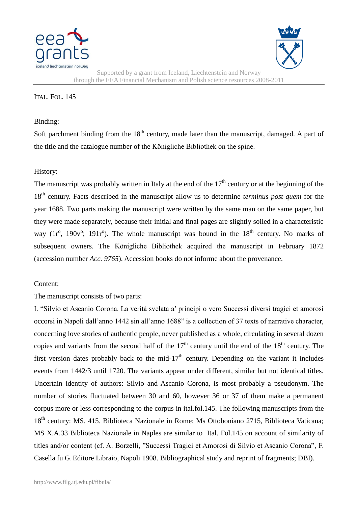



Supported by a grant from Iceland, Liechtenstein and Norway through the EEA Financial Mechanism and Polish science resources 2008-2011

## ITAL. FOL. 145

## Binding:

Soft parchment binding from the  $18<sup>th</sup>$  century, made later than the manuscript, damaged. A part of the title and the catalogue number of the Königliche Bibliothek on the spine.

## History:

The manuscript was probably written in Italy at the end of the  $17<sup>th</sup>$  century or at the beginning of the 18th century. Facts described in the manuscript allow us to determine *terminus post quem* for the year 1688. Two parts making the manuscript were written by the same man on the same paper, but they were made separately, because their initial and final pages are slightly soiled in a characteristic way  $(1r^{\circ}, 190v^{\circ}; 191r^{\circ})$ . The whole manuscript was bound in the  $18<sup>th</sup>$  century. No marks of subsequent owners. The Königliche Bibliothek acquired the manuscript in February 1872 (accession number *Acc. 9765*). Accession books do not informe about the provenance.

## Content:

The manuscript consists of two parts:

I. "Silvio et Ascanio Corona. La verità svelata a' principi o vero Successi diversi tragici et amorosi occorsi in Napoli dall'anno 1442 sin all'anno 1688" is a collection of 37 texts of narrative character, concerning love stories of authentic people, never published as a whole, circulating in several dozen copies and variants from the second half of the  $17<sup>th</sup>$  century until the end of the  $18<sup>th</sup>$  century. The first version dates probably back to the mid-17<sup>th</sup> century. Depending on the variant it includes events from 1442/3 until 1720. The variants appear under different, similar but not identical titles. Uncertain identity of authors: Silvio and Ascanio Corona, is most probably a pseudonym. The number of stories fluctuated between 30 and 60, however 36 or 37 of them make a permanent corpus more or less corresponding to the corpus in ital.fol.145. The following manuscripts from the 18<sup>th</sup> century: MS, 415. Biblioteca Nazionale in Rome; Ms Ottoboniano 2715, Biblioteca Vaticana; MS X.A.33 Biblioteca Nazionale in Naples are similar to Ital. Fol.145 on account of similarity of titles and/or content (cf. A. Borzelli, "Successi Tragici et Amorosi di Silvio et Ascanio Corona", F. Casella fu G. Editore Libraio, Napoli 1908. Bibliographical study and reprint of fragments; DBI).